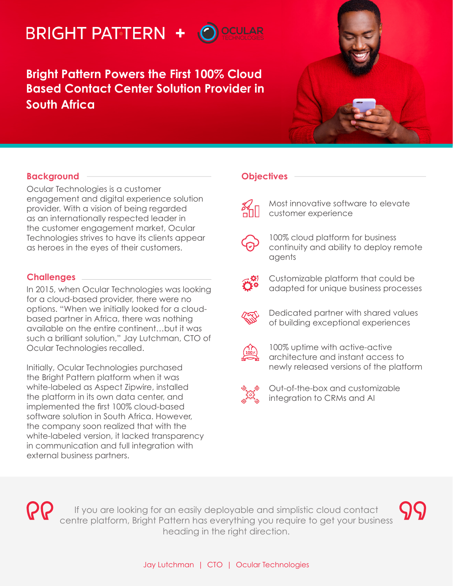# **+**

**Bright Pattern Powers the First 100% Cloud Based Contact Center Solution Provider in South Africa**



# **Background**

Ocular Technologies is a customer engagement and digital experience solution provider. With a vision of being regarded as an internationally respected leader in the customer engagement market, Ocular Technologies strives to have its clients appear as heroes in the eyes of their customers.

## **Challenges**

In 2015, when Ocular Technologies was looking for a cloud-based provider, there were no options. "When we initially looked for a cloudbased partner in Africa, there was nothing available on the entire continent…but it was such a brilliant solution," Jay Lutchman, CTO of Ocular Technologies recalled.

Initially, Ocular Technologies purchased the Bright Pattern platform when it was white-labeled as Aspect Zipwire, installed the platform in its own data center, and implemented the first 100% cloud-based software solution in South Africa. However, the company soon realized that with the white-labeled version, it lacked transparency in communication and full integration with external business partners.

#### **Objectives**

Most innovative software to elevate customer experience



100% cloud platform for business continuity and ability to deploy remote agents



Customizable platform that could be adapted for unique business processes



Dedicated partner with shared values of building exceptional experiences



100% uptime with active-active architecture and instant access to newly released versions of the platform



Out-of-the-box and customizable integration to CRMs and AI



If you are looking for an easily deployable and simplistic cloud contact centre platform, Bright Pattern has everything you require to get your business heading in the right direction.